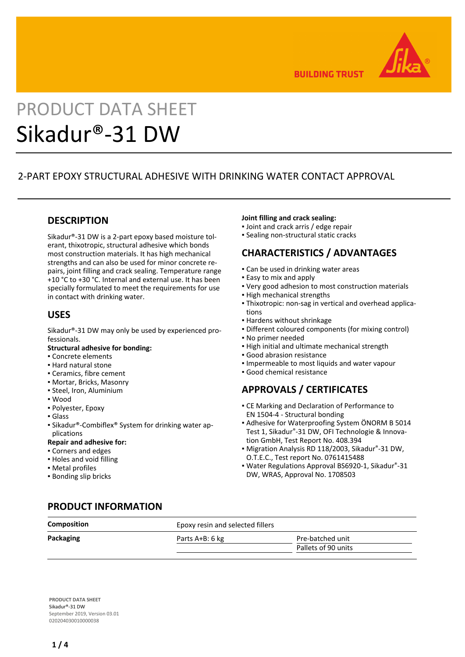

**BUILDING TRUST** 

# PRODUCT DATA SHEET Sikadur®-31 DW

# 2-PART EPOXY STRUCTURAL ADHESIVE WITH DRINKING WATER CONTACT APPROVAL

## **DESCRIPTION**

Sikadur®-31 DW is a 2-part epoxy based moisture tolerant, thixotropic, structural adhesive which bonds most construction materials. It has high mechanical strengths and can also be used for minor concrete repairs, joint filling and crack sealing. Temperature range +10 °C to +30 °C. Internal and external use. It has been specially formulated to meet the requirements for use in contact with drinking water.

## **USES**

Sikadur®-31 DW may only be used by experienced professionals.

#### **Structural adhesive for bonding:**

- Concrete elements
- Hard natural stone
- Ceramics, fibre cement
- Mortar, Bricks, Masonry
- Steel, Iron, Aluminium
- Wood
- Polyester, Epoxy
- Glass
- Sikadur®-Combiflex® System for drinking water applications

#### **Repair and adhesive for:**

- Corners and edges
- Holes and void filling
- Metal profiles
- Bonding slip bricks

#### **Joint filling and crack sealing:**

- Joint and crack arris / edge repair
- **E** Sealing non-structural static cracks

# **CHARACTERISTICS / ADVANTAGES**

- **.** Can be used in drinking water areas
- **Easy to mix and apply**
- Very good adhesion to most construction materials
- High mechanical strengths
- Thixotropic: non-sag in vertical and overhead applica-▪ tions
- Hardens without shrinkage
- Different coloured components (for mixing control)
- No primer needed
- **.** High initial and ultimate mechanical strength
- Good abrasion resistance
- Impermeable to most liquids and water vapour
- Good chemical resistance

# **APPROVALS / CERTIFICATES**

- **CE Marking and Declaration of Performance to** EN 1504-4 - Structural bonding
- Adhesive for Waterproofing System ÖNORM B 5014 Test 1, Sikadur®-31 DW, OFI Technologie & Innovation GmbH, Test Report No. 408.394
- Migration Analysis RD 118/2003, Sikadur®-31 DW, O.T.E.C., Test report No. 0761415488
- Water Regulations Approval BS6920-1, Sikadur®-31 DW, WRAS, Approval No. 1708503

## **PRODUCT INFORMATION**

| <b>Composition</b> | Epoxy resin and selected fillers |                     |  |
|--------------------|----------------------------------|---------------------|--|
| Packaging          | Parts A+B: 6 kg                  | Pre-batched unit    |  |
|                    |                                  | Pallets of 90 units |  |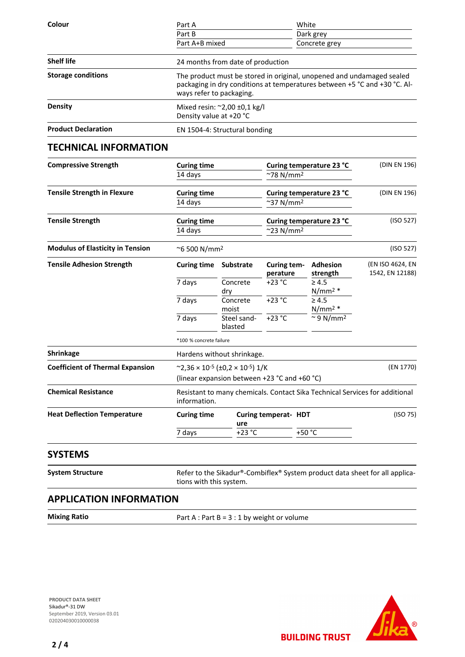| Colour                     | Part A                                                                                                                                                                         | White         |  |  |  |
|----------------------------|--------------------------------------------------------------------------------------------------------------------------------------------------------------------------------|---------------|--|--|--|
|                            | Part B                                                                                                                                                                         | Dark grey     |  |  |  |
|                            | Part A+B mixed                                                                                                                                                                 | Concrete grey |  |  |  |
| <b>Shelf life</b>          | 24 months from date of production                                                                                                                                              |               |  |  |  |
| <b>Storage conditions</b>  | The product must be stored in original, unopened and undamaged sealed<br>packaging in dry conditions at temperatures between +5 °C and +30 °C. Al-<br>ways refer to packaging. |               |  |  |  |
| Density                    | Mixed resin: $\approx$ 2,00 ±0,1 kg/l<br>Density value at +20 °C                                                                                                               |               |  |  |  |
| <b>Product Declaration</b> | EN 1504-4: Structural bonding                                                                                                                                                  |               |  |  |  |

## **TECHNICAL INFORMATION**

| <b>Compressive Strength</b>             | <b>Curing time</b><br>14 days<br><b>Curing time</b><br>14 days<br><b>Curing time</b><br>14 days               |                         | Curing temperature 23 °C<br>$~^{\sim}$ 78 N/mm <sup>2</sup><br>Curing temperature 23 °C<br>$~^{\sim}$ 37 N/mm <sup>2</sup><br>Curing temperature 23 °C<br>$^{\sim}$ 23 N/mm <sup>2</sup> |                                 | (DIN EN 196)                        |
|-----------------------------------------|---------------------------------------------------------------------------------------------------------------|-------------------------|------------------------------------------------------------------------------------------------------------------------------------------------------------------------------------------|---------------------------------|-------------------------------------|
| <b>Tensile Strength in Flexure</b>      |                                                                                                               |                         |                                                                                                                                                                                          |                                 | (DIN EN 196)<br>(ISO 527)           |
| <b>Tensile Strength</b>                 |                                                                                                               |                         |                                                                                                                                                                                          |                                 |                                     |
| <b>Modulus of Elasticity in Tension</b> | $~\sim$ 6 500 N/mm <sup>2</sup>                                                                               |                         |                                                                                                                                                                                          | (ISO 527)                       |                                     |
| <b>Tensile Adhesion Strength</b>        | <b>Curing time</b>                                                                                            | <b>Substrate</b>        | Curing tem-<br>perature                                                                                                                                                                  | <b>Adhesion</b><br>strength     | (EN ISO 4624, EN<br>1542, EN 12188) |
|                                         | 7 days                                                                                                        | Concrete<br>dry         | +23 °C                                                                                                                                                                                   | $\geq 4.5$<br>N/mm <sup>2</sup> |                                     |
|                                         | 7 days                                                                                                        | Concrete<br>moist       | $+23 °C$                                                                                                                                                                                 | $\geq 4.5$<br>N/mm <sup>2</sup> |                                     |
|                                         | 7 days                                                                                                        | Steel sand-<br>blasted  | $+23 °C$                                                                                                                                                                                 | ~9 N/mm <sup>2</sup>            |                                     |
|                                         |                                                                                                               | *100 % concrete failure |                                                                                                                                                                                          |                                 |                                     |
| <b>Shrinkage</b>                        | Hardens without shrinkage.                                                                                    |                         |                                                                                                                                                                                          |                                 |                                     |
| <b>Coefficient of Thermal Expansion</b> | $\sim$ 2,36 × 10 <sup>-5</sup> (±0,2 × 10 <sup>-5</sup> ) 1/K<br>(linear expansion between +23 °C and +60 °C) |                         |                                                                                                                                                                                          |                                 | (EN 1770)                           |
| <b>Chemical Resistance</b>              | Resistant to many chemicals. Contact Sika Technical Services for additional<br>information.                   |                         |                                                                                                                                                                                          |                                 |                                     |
| <b>Heat Deflection Temperature</b>      | <b>Curing time</b>                                                                                            | ure                     | Curing temperat- HDT                                                                                                                                                                     |                                 | (ISO 75)                            |
|                                         | 7 days                                                                                                        | $+23$ °C                |                                                                                                                                                                                          | +50 °C                          |                                     |

## **SYSTEMS**

System Structure **Refer to the Sikadur®-Combiflex®** System product data sheet for all applications with this system.

**BUILDING TRUST** 

# **APPLICATION INFORMATION**

**Mixing Ratio** Part A : Part B = 3 : 1 by weight or volume

**PRODUCT DATA SHEET** Sikadur®-31 DW September 2019, Version 03.01 020204030010000038

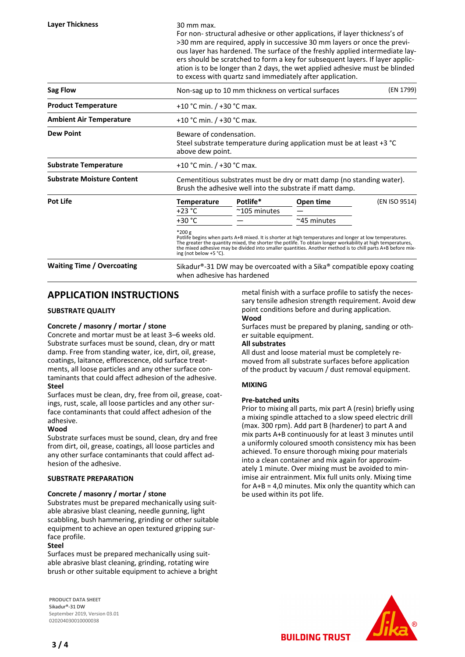For non- structural adhesive or other applications, if layer thickness's of >30 mm are required, apply in successive 30 mm layers or once the previous layer has hardened. The surface of the freshly applied intermediate layers should be scratched to form a key for subsequent layers. If layer application is to be longer than 2 days, the wet applied adhesive must be blinded to excess with quartz sand immediately after application.

| Sag Flow                          | (EN 1799)<br>Non-sag up to 10 mm thickness on vertical surfaces                                                                                                                                                                                                                                                                                                             |                        |                    |               |  |
|-----------------------------------|-----------------------------------------------------------------------------------------------------------------------------------------------------------------------------------------------------------------------------------------------------------------------------------------------------------------------------------------------------------------------------|------------------------|--------------------|---------------|--|
| <b>Product Temperature</b>        | +10 °C min. / +30 °C max.                                                                                                                                                                                                                                                                                                                                                   |                        |                    |               |  |
| <b>Ambient Air Temperature</b>    | +10 °C min. $/$ +30 °C max.                                                                                                                                                                                                                                                                                                                                                 |                        |                    |               |  |
| <b>Dew Point</b>                  | Beware of condensation.<br>Steel substrate temperature during application must be at least +3 °C<br>above dew point.                                                                                                                                                                                                                                                        |                        |                    |               |  |
| <b>Substrate Temperature</b>      | +10 °C min. $/$ +30 °C max.                                                                                                                                                                                                                                                                                                                                                 |                        |                    |               |  |
| <b>Substrate Moisture Content</b> | Cementitious substrates must be dry or matt damp (no standing water).<br>Brush the adhesive well into the substrate if matt damp.                                                                                                                                                                                                                                           |                        |                    |               |  |
| Pot Life                          | <b>Temperature</b>                                                                                                                                                                                                                                                                                                                                                          | Potlife*               | Open time          | (EN ISO 9514) |  |
|                                   | $+23 °C$                                                                                                                                                                                                                                                                                                                                                                    | $~^{\sim}$ 105 minutes |                    |               |  |
|                                   | $+30 °C$                                                                                                                                                                                                                                                                                                                                                                    |                        | $~\sim$ 45 minutes |               |  |
|                                   | *200 g<br>Potlife begins when parts A+B mixed. It is shorter at high temperatures and longer at low temperatures.<br>The greater the quantity mixed, the shorter the potlife. To obtain longer workability at high temperatures,<br>the mixed adhesive may be divided into smaller quantities. Another method is to chill parts A+B before mix-<br>ing (not below $+5$ °C). |                        |                    |               |  |
| <b>Waiting Time / Overcoating</b> | Sikadur <sup>®</sup> -31 DW may be overcoated with a Sika <sup>®</sup> compatible epoxy coating<br>when adhesive has hardened                                                                                                                                                                                                                                               |                        |                    |               |  |

## **APPLICATION INSTRUCTIONS**

#### **SUBSTRATE QUALITY**

#### **Concrete / masonry / mortar / stone**

Concrete and mortar must be at least 3–6 weeks old. Substrate surfaces must be sound, clean, dry or matt damp. Free from standing water, ice, dirt, oil, grease, coatings, laitance, efflorescence, old surface treatments, all loose particles and any other surface contaminants that could affect adhesion of the adhesive. **Steel**

Surfaces must be clean, dry, free from oil, grease, coatings, rust, scale, all loose particles and any other surface contaminants that could affect adhesion of the adhesive.

#### **Wood**

Substrate surfaces must be sound, clean, dry and free from dirt, oil, grease, coatings, all loose particles and any other surface contaminants that could affect adhesion of the adhesive.

#### **SUBSTRATE PREPARATION**

#### **Concrete / masonry / mortar / stone**

Substrates must be prepared mechanically using suitable abrasive blast cleaning, needle gunning, light scabbling, bush hammering, grinding or other suitable equipment to achieve an open textured gripping surface profile.

#### **Steel**

Surfaces must be prepared mechanically using suitable abrasive blast cleaning, grinding, rotating wire brush or other suitable equipment to achieve a bright

**PRODUCT DATA SHEET** Sikadur®-31 DW September 2019, Version 03.01 020204030010000038

metal finish with a surface profile to satisfy the necessary tensile adhesion strength requirement. Avoid dew point conditions before and during application. **Wood**

Surfaces must be prepared by planing, sanding or other suitable equipment.

#### **All substrates**

All dust and loose material must be completely removed from all substrate surfaces before application of the product by vacuum / dust removal equipment.

#### **MIXING**

#### **Pre-batched units**

Prior to mixing all parts, mix part A (resin) briefly using a mixing spindle attached to a slow speed electric drill (max. 300 rpm). Add part B (hardener) to part A and mix parts A+B continuously for at least 3 minutes until a uniformly coloured smooth consistency mix has been achieved. To ensure thorough mixing pour materials into a clean container and mix again for approximately 1 minute. Over mixing must be avoided to minimise air entrainment. Mix full units only. Mixing time for  $A+B = 4.0$  minutes. Mix only the quantity which can be used within its pot life.